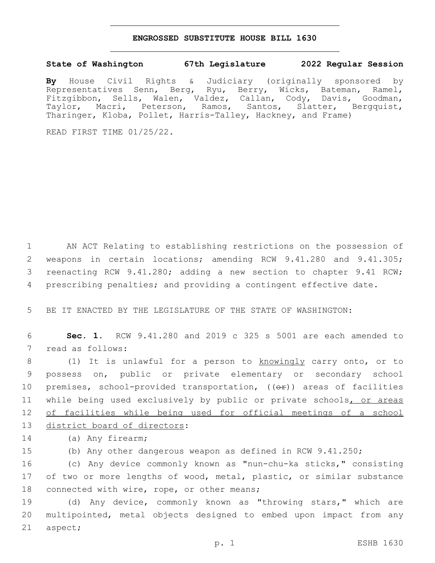## **ENGROSSED SUBSTITUTE HOUSE BILL 1630**

## **State of Washington 67th Legislature 2022 Regular Session**

**By** House Civil Rights & Judiciary (originally sponsored by Representatives Senn, Berg, Ryu, Berry, Wicks, Bateman, Ramel, Fitzgibbon, Sells, Walen, Valdez, Callan, Cody, Davis, Goodman, Taylor, Macri, Peterson, Ramos, Santos, Slatter, Bergquist, Tharinger, Kloba, Pollet, Harris-Talley, Hackney, and Frame)

READ FIRST TIME 01/25/22.

 AN ACT Relating to establishing restrictions on the possession of weapons in certain locations; amending RCW 9.41.280 and 9.41.305; reenacting RCW 9.41.280; adding a new section to chapter 9.41 RCW; prescribing penalties; and providing a contingent effective date.

5 BE IT ENACTED BY THE LEGISLATURE OF THE STATE OF WASHINGTON:

6 **Sec. 1.** RCW 9.41.280 and 2019 c 325 s 5001 are each amended to 7 read as follows:

8 (1) It is unlawful for a person to knowingly carry onto, or to 9 possess on, public or private elementary or secondary school 10 premises, school-provided transportation, ((OP)) areas of facilities 11 while being used exclusively by public or private schools, or areas 12 of facilities while being used for official meetings of a school 13 district board of directors:

14 (a) Any firearm;

15 (b) Any other dangerous weapon as defined in RCW 9.41.250;

16 (c) Any device commonly known as "nun-chu-ka sticks," consisting 17 of two or more lengths of wood, metal, plastic, or similar substance 18 connected with wire, rope, or other means;

19 (d) Any device, commonly known as "throwing stars," which are 20 multipointed, metal objects designed to embed upon impact from any 21 aspect;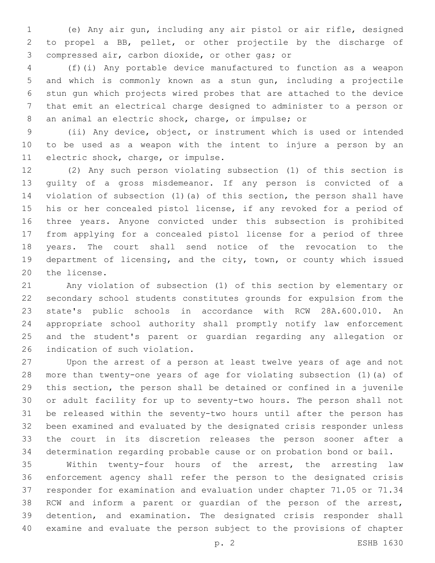(e) Any air gun, including any air pistol or air rifle, designed to propel a BB, pellet, or other projectile by the discharge of 3 compressed air, carbon dioxide, or other gas; or

 (f)(i) Any portable device manufactured to function as a weapon and which is commonly known as a stun gun, including a projectile stun gun which projects wired probes that are attached to the device that emit an electrical charge designed to administer to a person or an animal an electric shock, charge, or impulse; or

 (ii) Any device, object, or instrument which is used or intended to be used as a weapon with the intent to injure a person by an 11 electric shock, charge, or impulse.

 (2) Any such person violating subsection (1) of this section is guilty of a gross misdemeanor. If any person is convicted of a violation of subsection (1)(a) of this section, the person shall have his or her concealed pistol license, if any revoked for a period of three years. Anyone convicted under this subsection is prohibited from applying for a concealed pistol license for a period of three years. The court shall send notice of the revocation to the department of licensing, and the city, town, or county which issued 20 the license.

 Any violation of subsection (1) of this section by elementary or secondary school students constitutes grounds for expulsion from the state's public schools in accordance with RCW 28A.600.010. An appropriate school authority shall promptly notify law enforcement and the student's parent or guardian regarding any allegation or 26 indication of such violation.

 Upon the arrest of a person at least twelve years of age and not more than twenty-one years of age for violating subsection (1)(a) of this section, the person shall be detained or confined in a juvenile or adult facility for up to seventy-two hours. The person shall not be released within the seventy-two hours until after the person has been examined and evaluated by the designated crisis responder unless the court in its discretion releases the person sooner after a determination regarding probable cause or on probation bond or bail.

 Within twenty-four hours of the arrest, the arresting law enforcement agency shall refer the person to the designated crisis responder for examination and evaluation under chapter 71.05 or 71.34 RCW and inform a parent or guardian of the person of the arrest, detention, and examination. The designated crisis responder shall examine and evaluate the person subject to the provisions of chapter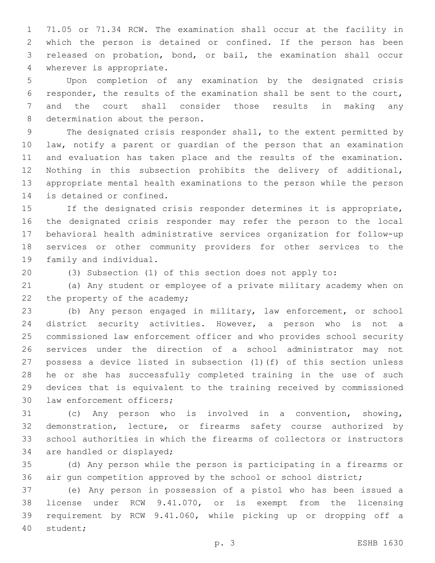71.05 or 71.34 RCW. The examination shall occur at the facility in which the person is detained or confined. If the person has been released on probation, bond, or bail, the examination shall occur 4 wherever is appropriate.

 Upon completion of any examination by the designated crisis responder, the results of the examination shall be sent to the court, and the court shall consider those results in making any 8 determination about the person.

 The designated crisis responder shall, to the extent permitted by law, notify a parent or guardian of the person that an examination and evaluation has taken place and the results of the examination. Nothing in this subsection prohibits the delivery of additional, appropriate mental health examinations to the person while the person 14 is detained or confined.

 If the designated crisis responder determines it is appropriate, the designated crisis responder may refer the person to the local behavioral health administrative services organization for follow-up services or other community providers for other services to the 19 family and individual.

(3) Subsection (1) of this section does not apply to:

 (a) Any student or employee of a private military academy when on 22 the property of the academy;

 (b) Any person engaged in military, law enforcement, or school district security activities. However, a person who is not a commissioned law enforcement officer and who provides school security services under the direction of a school administrator may not possess a device listed in subsection (1)(f) of this section unless he or she has successfully completed training in the use of such devices that is equivalent to the training received by commissioned 30 law enforcement officers;

 (c) Any person who is involved in a convention, showing, demonstration, lecture, or firearms safety course authorized by school authorities in which the firearms of collectors or instructors 34 are handled or displayed;

 (d) Any person while the person is participating in a firearms or air gun competition approved by the school or school district;

 (e) Any person in possession of a pistol who has been issued a license under RCW 9.41.070, or is exempt from the licensing requirement by RCW 9.41.060, while picking up or dropping off a 40 student;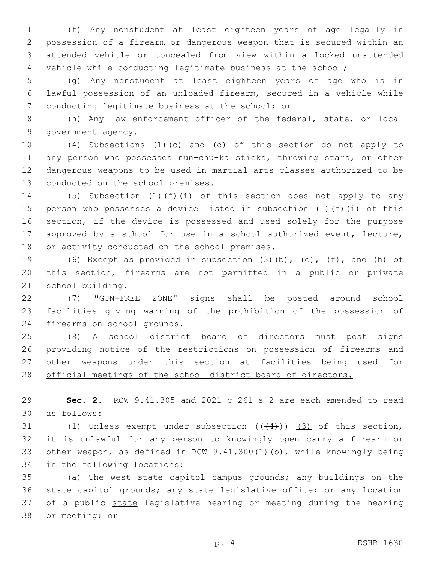(f) Any nonstudent at least eighteen years of age legally in possession of a firearm or dangerous weapon that is secured within an attended vehicle or concealed from view within a locked unattended vehicle while conducting legitimate business at the school;

 (g) Any nonstudent at least eighteen years of age who is in lawful possession of an unloaded firearm, secured in a vehicle while 7 conducting legitimate business at the school; or

 (h) Any law enforcement officer of the federal, state, or local 9 government agency.

 (4) Subsections (1)(c) and (d) of this section do not apply to any person who possesses nun-chu-ka sticks, throwing stars, or other dangerous weapons to be used in martial arts classes authorized to be 13 conducted on the school premises.

 (5) Subsection (1)(f)(i) of this section does not apply to any person who possesses a device listed in subsection (1)(f)(i) of this section, if the device is possessed and used solely for the purpose approved by a school for use in a school authorized event, lecture, 18 or activity conducted on the school premises.

 (6) Except as provided in subsection (3)(b), (c), (f), and (h) of this section, firearms are not permitted in a public or private 21 school building.

 (7) "GUN-FREE ZONE" signs shall be posted around school facilities giving warning of the prohibition of the possession of 24 firearms on school grounds.

 (8) A school district board of directors must post signs providing notice of the restrictions on possession of firearms and 27 other weapons under this section at facilities being used for 28 official meetings of the school district board of directors.

 **Sec. 2.** RCW 9.41.305 and 2021 c 261 s 2 are each amended to read as follows:30

31 (1) Unless exempt under subsection  $((+4))$  (3) of this section, it is unlawful for any person to knowingly open carry a firearm or other weapon, as defined in RCW 9.41.300(1)(b), while knowingly being 34 in the following locations:

 (a) The west state capitol campus grounds; any buildings on the state capitol grounds; any state legislative office; or any location 37 of a public state legislative hearing or meeting during the hearing 38 or meeting; or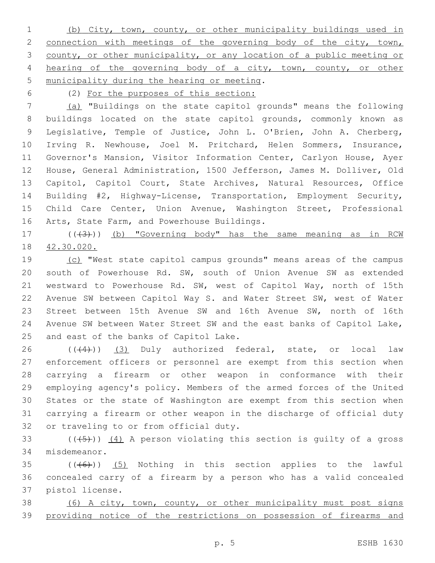(b) City, town, county, or other municipality buildings used in 2 connection with meetings of the governing body of the city, town, county, or other municipality, or any location of a public meeting or hearing of the governing body of a city, town, county, or other 5 municipality during the hearing or meeting.

(2) For the purposes of this section:

 (a) "Buildings on the state capitol grounds" means the following buildings located on the state capitol grounds, commonly known as Legislative, Temple of Justice, John L. O'Brien, John A. Cherberg, Irving R. Newhouse, Joel M. Pritchard, Helen Sommers, Insurance, Governor's Mansion, Visitor Information Center, Carlyon House, Ayer House, General Administration, 1500 Jefferson, James M. Dolliver, Old Capitol, Capitol Court, State Archives, Natural Resources, Office Building #2, Highway-License, Transportation, Employment Security, Child Care Center, Union Avenue, Washington Street, Professional 16 Arts, State Farm, and Powerhouse Buildings.

17 (((43))) (b) "Governing body" has the same meaning as in RCW 42.30.020.

 (c) "West state capitol campus grounds" means areas of the campus south of Powerhouse Rd. SW, south of Union Avenue SW as extended westward to Powerhouse Rd. SW, west of Capitol Way, north of 15th Avenue SW between Capitol Way S. and Water Street SW, west of Water Street between 15th Avenue SW and 16th Avenue SW, north of 16th Avenue SW between Water Street SW and the east banks of Capitol Lake, 25 and east of the banks of Capitol Lake.

 ( $(44)$ ))  $(3)$  Duly authorized federal, state, or local law enforcement officers or personnel are exempt from this section when carrying a firearm or other weapon in conformance with their employing agency's policy. Members of the armed forces of the United States or the state of Washington are exempt from this section when carrying a firearm or other weapon in the discharge of official duty 32 or traveling to or from official duty.

33  $((+5+))$   $(4)$  A person violating this section is quilty of a gross 34 misdemeanor.

 (( $(46)$ )) (5) Nothing in this section applies to the lawful concealed carry of a firearm by a person who has a valid concealed 37 pistol license.

 (6) A city, town, county, or other municipality must post signs providing notice of the restrictions on possession of firearms and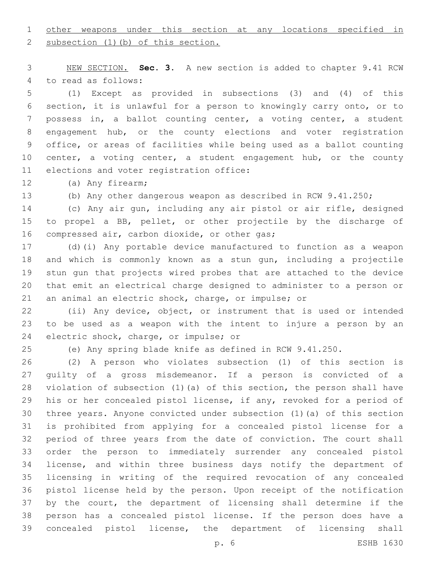## other weapons under this section at any locations specified in

2 subsection (1)(b) of this section.

 NEW SECTION. **Sec. 3.** A new section is added to chapter 9.41 RCW 4 to read as follows:

 (1) Except as provided in subsections (3) and (4) of this section, it is unlawful for a person to knowingly carry onto, or to possess in, a ballot counting center, a voting center, a student engagement hub, or the county elections and voter registration office, or areas of facilities while being used as a ballot counting 10 center, a voting center, a student engagement hub, or the county 11 elections and voter registration office:

12 (a) Any firearm;

(b) Any other dangerous weapon as described in RCW 9.41.250;

 (c) Any air gun, including any air pistol or air rifle, designed to propel a BB, pellet, or other projectile by the discharge of 16 compressed air, carbon dioxide, or other gas;

 (d)(i) Any portable device manufactured to function as a weapon and which is commonly known as a stun gun, including a projectile stun gun that projects wired probes that are attached to the device that emit an electrical charge designed to administer to a person or an animal an electric shock, charge, or impulse; or

 (ii) Any device, object, or instrument that is used or intended to be used as a weapon with the intent to injure a person by an 24 electric shock, charge, or impulse; or

(e) Any spring blade knife as defined in RCW 9.41.250.

 (2) A person who violates subsection (1) of this section is guilty of a gross misdemeanor. If a person is convicted of a violation of subsection (1)(a) of this section, the person shall have his or her concealed pistol license, if any, revoked for a period of three years. Anyone convicted under subsection (1)(a) of this section is prohibited from applying for a concealed pistol license for a period of three years from the date of conviction. The court shall order the person to immediately surrender any concealed pistol license, and within three business days notify the department of licensing in writing of the required revocation of any concealed pistol license held by the person. Upon receipt of the notification by the court, the department of licensing shall determine if the person has a concealed pistol license. If the person does have a concealed pistol license, the department of licensing shall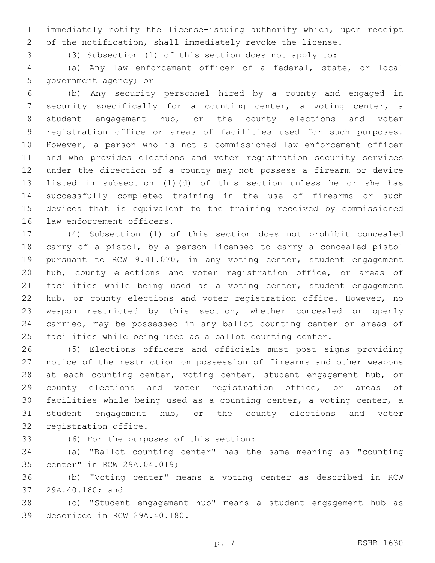immediately notify the license-issuing authority which, upon receipt of the notification, shall immediately revoke the license.

(3) Subsection (1) of this section does not apply to:

 (a) Any law enforcement officer of a federal, state, or local 5 government agency; or

 (b) Any security personnel hired by a county and engaged in security specifically for a counting center, a voting center, a student engagement hub, or the county elections and voter registration office or areas of facilities used for such purposes. However, a person who is not a commissioned law enforcement officer and who provides elections and voter registration security services under the direction of a county may not possess a firearm or device listed in subsection (1)(d) of this section unless he or she has successfully completed training in the use of firearms or such devices that is equivalent to the training received by commissioned 16 law enforcement officers.

 (4) Subsection (1) of this section does not prohibit concealed carry of a pistol, by a person licensed to carry a concealed pistol pursuant to RCW 9.41.070, in any voting center, student engagement hub, county elections and voter registration office, or areas of facilities while being used as a voting center, student engagement hub, or county elections and voter registration office. However, no weapon restricted by this section, whether concealed or openly carried, may be possessed in any ballot counting center or areas of facilities while being used as a ballot counting center.

 (5) Elections officers and officials must post signs providing notice of the restriction on possession of firearms and other weapons 28 at each counting center, voting center, student engagement hub, or county elections and voter registration office, or areas of facilities while being used as a counting center, a voting center, a student engagement hub, or the county elections and voter 32 registration office.

(6) For the purposes of this section:33

 (a) "Ballot counting center" has the same meaning as "counting 35 center" in RCW 29A.04.019;

 (b) "Voting center" means a voting center as described in RCW 37 29A.40.160; and

 (c) "Student engagement hub" means a student engagement hub as 39 described in RCW 29A.40.180.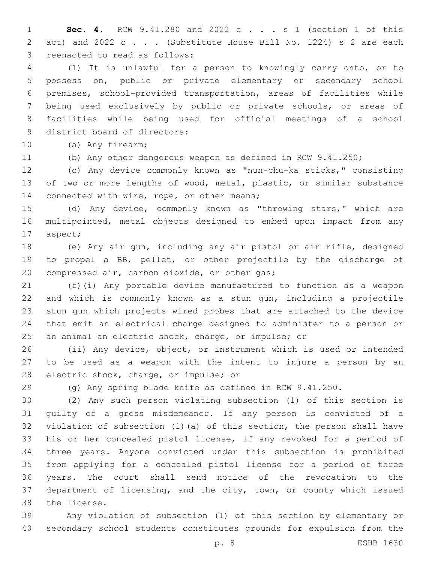**Sec. 4.** RCW 9.41.280 and 2022 c . . . s 1 (section 1 of this 2 act) and 2022 c . . . (Substitute House Bill No. 1224) s 2 are each 3 reenacted to read as follows:

 (1) It is unlawful for a person to knowingly carry onto, or to possess on, public or private elementary or secondary school premises, school-provided transportation, areas of facilities while being used exclusively by public or private schools, or areas of facilities while being used for official meetings of a school 9 district board of directors:

10 (a) Any firearm;

(b) Any other dangerous weapon as defined in RCW 9.41.250;

 (c) Any device commonly known as "nun-chu-ka sticks," consisting of two or more lengths of wood, metal, plastic, or similar substance 14 connected with wire, rope, or other means;

 (d) Any device, commonly known as "throwing stars," which are multipointed, metal objects designed to embed upon impact from any 17 aspect;

 (e) Any air gun, including any air pistol or air rifle, designed to propel a BB, pellet, or other projectile by the discharge of 20 compressed air, carbon dioxide, or other gas;

 (f)(i) Any portable device manufactured to function as a weapon and which is commonly known as a stun gun, including a projectile stun gun which projects wired probes that are attached to the device that emit an electrical charge designed to administer to a person or an animal an electric shock, charge, or impulse; or

 (ii) Any device, object, or instrument which is used or intended to be used as a weapon with the intent to injure a person by an 28 electric shock, charge, or impulse; or

(g) Any spring blade knife as defined in RCW 9.41.250.

 (2) Any such person violating subsection (1) of this section is guilty of a gross misdemeanor. If any person is convicted of a violation of subsection (1)(a) of this section, the person shall have his or her concealed pistol license, if any revoked for a period of three years. Anyone convicted under this subsection is prohibited from applying for a concealed pistol license for a period of three years. The court shall send notice of the revocation to the department of licensing, and the city, town, or county which issued 38 the license.

 Any violation of subsection (1) of this section by elementary or secondary school students constitutes grounds for expulsion from the

p. 8 ESHB 1630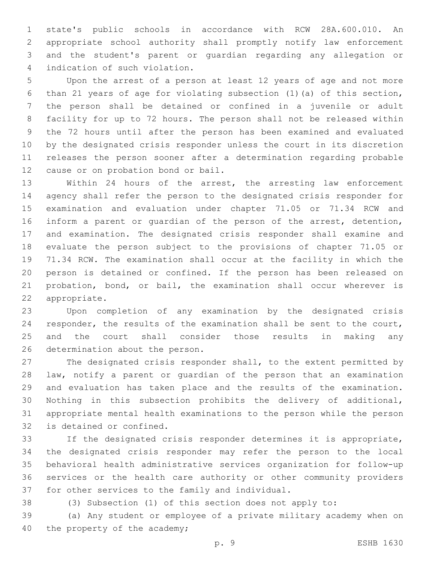state's public schools in accordance with RCW 28A.600.010. An appropriate school authority shall promptly notify law enforcement and the student's parent or guardian regarding any allegation or 4 indication of such violation.

 Upon the arrest of a person at least 12 years of age and not more than 21 years of age for violating subsection (1)(a) of this section, the person shall be detained or confined in a juvenile or adult facility for up to 72 hours. The person shall not be released within the 72 hours until after the person has been examined and evaluated by the designated crisis responder unless the court in its discretion releases the person sooner after a determination regarding probable 12 cause or on probation bond or bail.

 Within 24 hours of the arrest, the arresting law enforcement agency shall refer the person to the designated crisis responder for examination and evaluation under chapter 71.05 or 71.34 RCW and inform a parent or guardian of the person of the arrest, detention, and examination. The designated crisis responder shall examine and evaluate the person subject to the provisions of chapter 71.05 or 71.34 RCW. The examination shall occur at the facility in which the person is detained or confined. If the person has been released on probation, bond, or bail, the examination shall occur wherever is 22 appropriate.

 Upon completion of any examination by the designated crisis responder, the results of the examination shall be sent to the court, and the court shall consider those results in making any 26 determination about the person.

 The designated crisis responder shall, to the extent permitted by law, notify a parent or guardian of the person that an examination and evaluation has taken place and the results of the examination. Nothing in this subsection prohibits the delivery of additional, appropriate mental health examinations to the person while the person 32 is detained or confined.

 If the designated crisis responder determines it is appropriate, the designated crisis responder may refer the person to the local behavioral health administrative services organization for follow-up services or the health care authority or other community providers 37 for other services to the family and individual.

(3) Subsection (1) of this section does not apply to:

 (a) Any student or employee of a private military academy when on 40 the property of the academy;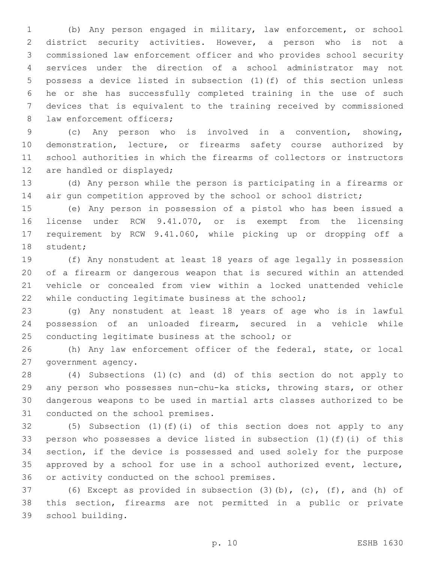(b) Any person engaged in military, law enforcement, or school district security activities. However, a person who is not a commissioned law enforcement officer and who provides school security services under the direction of a school administrator may not possess a device listed in subsection (1)(f) of this section unless he or she has successfully completed training in the use of such devices that is equivalent to the training received by commissioned 8 law enforcement officers;

 (c) Any person who is involved in a convention, showing, demonstration, lecture, or firearms safety course authorized by school authorities in which the firearms of collectors or instructors 12 are handled or displayed;

 (d) Any person while the person is participating in a firearms or 14 air gun competition approved by the school or school district;

 (e) Any person in possession of a pistol who has been issued a license under RCW 9.41.070, or is exempt from the licensing requirement by RCW 9.41.060, while picking up or dropping off a 18 student;

 (f) Any nonstudent at least 18 years of age legally in possession of a firearm or dangerous weapon that is secured within an attended vehicle or concealed from view within a locked unattended vehicle while conducting legitimate business at the school;

 (g) Any nonstudent at least 18 years of age who is in lawful possession of an unloaded firearm, secured in a vehicle while 25 conducting legitimate business at the school; or

 (h) Any law enforcement officer of the federal, state, or local 27 government agency.

 (4) Subsections (1)(c) and (d) of this section do not apply to any person who possesses nun-chu-ka sticks, throwing stars, or other dangerous weapons to be used in martial arts classes authorized to be 31 conducted on the school premises.

 (5) Subsection (1)(f)(i) of this section does not apply to any person who possesses a device listed in subsection (1)(f)(i) of this section, if the device is possessed and used solely for the purpose approved by a school for use in a school authorized event, lecture, 36 or activity conducted on the school premises.

 (6) Except as provided in subsection (3)(b), (c), (f), and (h) of this section, firearms are not permitted in a public or private school building.39